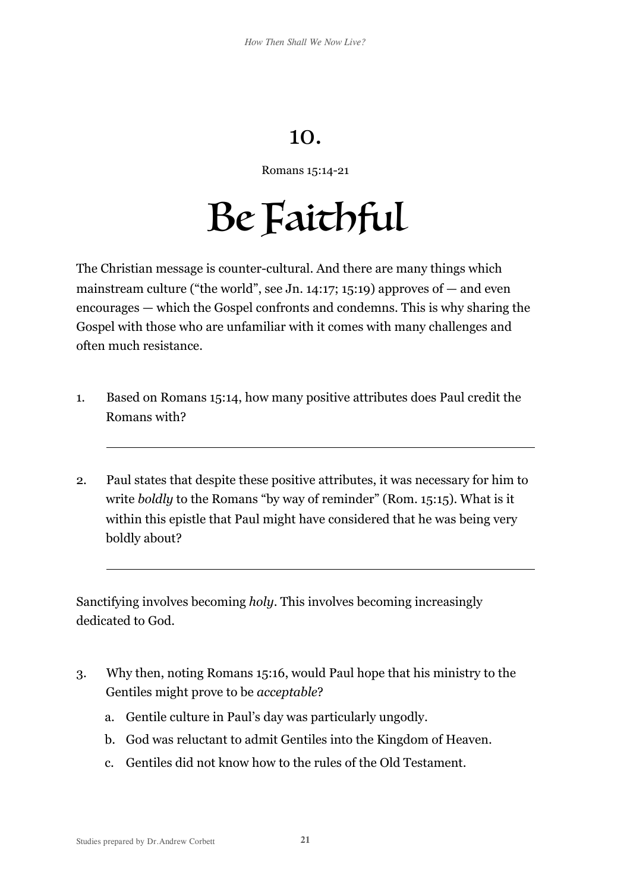## 10.

Romans 15:14-21

## Be Faithful

The Christian message is counter-cultural. And there are many things which mainstream culture ("the world", see Jn.  $14:17:15:19$ ) approves of  $-$  and even encourages — which the Gospel confronts and condemns. This is why sharing the Gospel with those who are unfamiliar with it comes with many challenges and often much resistance.

- 1. Based on Romans 15:14, how many positive attributes does Paul credit the Romans with?
- 2. Paul states that despite these positive attributes, it was necessary for him to write *boldly* to the Romans "by way of reminder" (Rom. 15:15). What is it within this epistle that Paul might have considered that he was being very boldly about?

Sanctifying involves becoming *holy*. This involves becoming increasingly dedicated to God.

- 3. Why then, noting Romans 15:16, would Paul hope that his ministry to the Gentiles might prove to be *acceptable*?
	- a. Gentile culture in Paul's day was particularly ungodly.
	- b. God was reluctant to admit Gentiles into the Kingdom of Heaven.
	- c. Gentiles did not know how to the rules of the Old Testament.

 $\overline{a}$ 

 $\overline{a}$